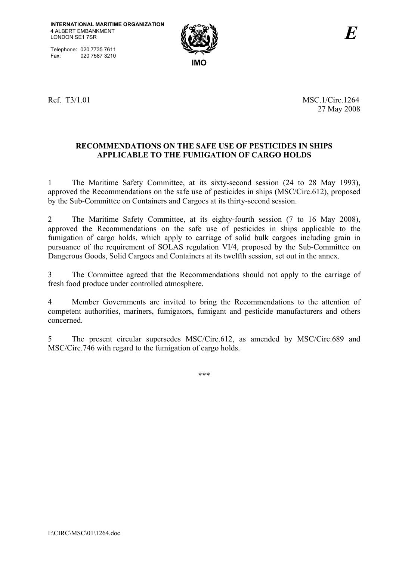Telephone: 020 7735 7611<br>Fax: 020 7587 3210 020 7587 3210



Ref. T3/1.01 MSC.1/Circ.1264 27 May 2008

# **RECOMMENDATIONS ON THE SAFE USE OF PESTICIDES IN SHIPS APPLICABLE TO THE FUMIGATION OF CARGO HOLDS**

1 The Maritime Safety Committee, at its sixty-second session (24 to 28 May 1993), approved the Recommendations on the safe use of pesticides in ships (MSC/Circ.612), proposed by the Sub-Committee on Containers and Cargoes at its thirty-second session.

2 The Maritime Safety Committee, at its eighty-fourth session (7 to 16 May 2008), approved the Recommendations on the safe use of pesticides in ships applicable to the fumigation of cargo holds, which apply to carriage of solid bulk cargoes including grain in pursuance of the requirement of SOLAS regulation VI/4, proposed by the Sub-Committee on Dangerous Goods, Solid Cargoes and Containers at its twelfth session, set out in the annex.

3 The Committee agreed that the Recommendations should not apply to the carriage of fresh food produce under controlled atmosphere.

4 Member Governments are invited to bring the Recommendations to the attention of competent authorities, mariners, fumigators, fumigant and pesticide manufacturers and others concerned.

5 The present circular supersedes MSC/Circ.612, as amended by MSC/Circ.689 and MSC/Circ.746 with regard to the fumigation of cargo holds.

\*\*\*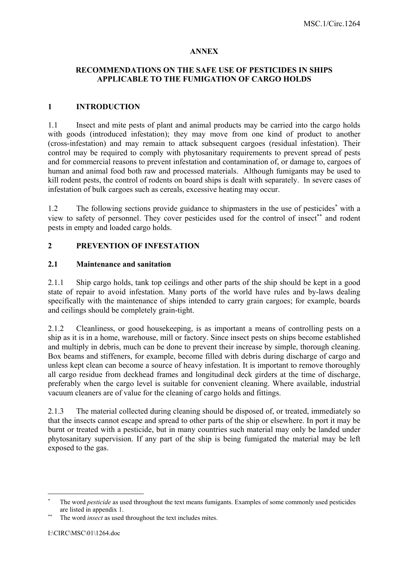### **ANNEX**

### **RECOMMENDATIONS ON THE SAFE USE OF PESTICIDES IN SHIPS APPLICABLE TO THE FUMIGATION OF CARGO HOLDS**

### **1 INTRODUCTION**

1.1 Insect and mite pests of plant and animal products may be carried into the cargo holds with goods (introduced infestation); they may move from one kind of product to another (cross-infestation) and may remain to attack subsequent cargoes (residual infestation). Their control may be required to comply with phytosanitary requirements to prevent spread of pests and for commercial reasons to prevent infestation and contamination of, or damage to, cargoes of human and animal food both raw and processed materials. Although fumigants may be used to kill rodent pests, the control of rodents on board ships is dealt with separately. In severe cases of infestation of bulk cargoes such as cereals, excessive heating may occur.

1.2 The following sections provide guidance to shipmasters in the use of pesticides<sup>\*</sup> with a view to safety of personnel. They cover pesticides used for the control of insect<sup>∗∗</sup> and rodent pests in empty and loaded cargo holds.

### **2 PREVENTION OF INFESTATION**

#### **2.1 Maintenance and sanitation**

2.1.1 Ship cargo holds, tank top ceilings and other parts of the ship should be kept in a good state of repair to avoid infestation. Many ports of the world have rules and by-laws dealing specifically with the maintenance of ships intended to carry grain cargoes; for example, boards and ceilings should be completely grain-tight.

2.1.2 Cleanliness, or good housekeeping, is as important a means of controlling pests on a ship as it is in a home, warehouse, mill or factory. Since insect pests on ships become established and multiply in debris, much can be done to prevent their increase by simple, thorough cleaning. Box beams and stiffeners, for example, become filled with debris during discharge of cargo and unless kept clean can become a source of heavy infestation. It is important to remove thoroughly all cargo residue from deckhead frames and longitudinal deck girders at the time of discharge, preferably when the cargo level is suitable for convenient cleaning. Where available, industrial vacuum cleaners are of value for the cleaning of cargo holds and fittings.

2.1.3 The material collected during cleaning should be disposed of, or treated, immediately so that the insects cannot escape and spread to other parts of the ship or elsewhere. In port it may be burnt or treated with a pesticide, but in many countries such material may only be landed under phytosanitary supervision. If any part of the ship is being fumigated the material may be left exposed to the gas.

 $\overline{a}$ 

<sup>∗</sup> The word *pesticide* as used throughout the text means fumigants. Examples of some commonly used pesticides are listed in appendix 1.

The word *insect* as used throughout the text includes mites.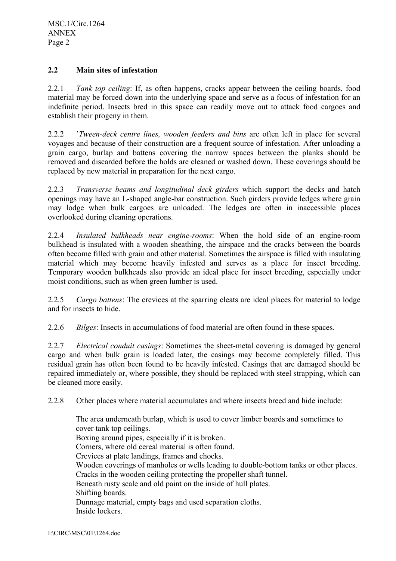### **2.2 Main sites of infestation**

2.2.1 *Tank top ceiling*: If, as often happens, cracks appear between the ceiling boards, food material may be forced down into the underlying space and serve as a focus of infestation for an indefinite period. Insects bred in this space can readily move out to attack food cargoes and establish their progeny in them.

2.2.2 '*Tween-deck centre lines, wooden feeders and bins* are often left in place for several voyages and because of their construction are a frequent source of infestation. After unloading a grain cargo, burlap and battens covering the narrow spaces between the planks should be removed and discarded before the holds are cleaned or washed down. These coverings should be replaced by new material in preparation for the next cargo.

2.2.3 *Transverse beams and longitudinal deck girders* which support the decks and hatch openings may have an L-shaped angle-bar construction. Such girders provide ledges where grain may lodge when bulk cargoes are unloaded. The ledges are often in inaccessible places overlooked during cleaning operations.

2.2.4 *Insulated bulkheads near engine-rooms*: When the hold side of an engine-room bulkhead is insulated with a wooden sheathing, the airspace and the cracks between the boards often become filled with grain and other material. Sometimes the airspace is filled with insulating material which may become heavily infested and serves as a place for insect breeding. Temporary wooden bulkheads also provide an ideal place for insect breeding, especially under moist conditions, such as when green lumber is used.

2.2.5 *Cargo battens*: The crevices at the sparring cleats are ideal places for material to lodge and for insects to hide.

2.2.6 *Bilges*: Insects in accumulations of food material are often found in these spaces.

2.2.7 *Electrical conduit casings*: Sometimes the sheet-metal covering is damaged by general cargo and when bulk grain is loaded later, the casings may become completely filled. This residual grain has often been found to be heavily infested. Casings that are damaged should be repaired immediately or, where possible, they should be replaced with steel strapping, which can be cleaned more easily.

2.2.8 Other places where material accumulates and where insects breed and hide include:

The area underneath burlap, which is used to cover limber boards and sometimes to cover tank top ceilings. Boxing around pipes, especially if it is broken. Corners, where old cereal material is often found. Crevices at plate landings, frames and chocks. Wooden coverings of manholes or wells leading to double-bottom tanks or other places. Cracks in the wooden ceiling protecting the propeller shaft tunnel. Beneath rusty scale and old paint on the inside of hull plates. Shifting boards. Dunnage material, empty bags and used separation cloths. Inside lockers.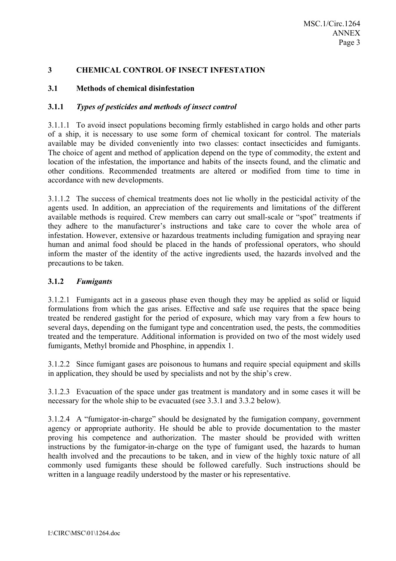## **3 CHEMICAL CONTROL OF INSECT INFESTATION**

## **3.1 Methods of chemical disinfestation**

## **3.1.1** *Types of pesticides and methods of insect control*

3.1.1.1 To avoid insect populations becoming firmly established in cargo holds and other parts of a ship, it is necessary to use some form of chemical toxicant for control. The materials available may be divided conveniently into two classes: contact insecticides and fumigants. The choice of agent and method of application depend on the type of commodity, the extent and location of the infestation, the importance and habits of the insects found, and the climatic and other conditions. Recommended treatments are altered or modified from time to time in accordance with new developments.

3.1.1.2 The success of chemical treatments does not lie wholly in the pesticidal activity of the agents used. In addition, an appreciation of the requirements and limitations of the different available methods is required. Crew members can carry out small-scale or "spot" treatments if they adhere to the manufacturer's instructions and take care to cover the whole area of infestation. However, extensive or hazardous treatments including fumigation and spraying near human and animal food should be placed in the hands of professional operators, who should inform the master of the identity of the active ingredients used, the hazards involved and the precautions to be taken.

### **3.1.2** *Fumigants*

3.1.2.1 Fumigants act in a gaseous phase even though they may be applied as solid or liquid formulations from which the gas arises. Effective and safe use requires that the space being treated be rendered gastight for the period of exposure, which may vary from a few hours to several days, depending on the fumigant type and concentration used, the pests, the commodities treated and the temperature. Additional information is provided on two of the most widely used fumigants, Methyl bromide and Phosphine, in appendix 1.

3.1.2.2 Since fumigant gases are poisonous to humans and require special equipment and skills in application, they should be used by specialists and not by the ship's crew.

3.1.2.3 Evacuation of the space under gas treatment is mandatory and in some cases it will be necessary for the whole ship to be evacuated (see 3.3.1 and 3.3.2 below).

3.1.2.4 A "fumigator-in-charge" should be designated by the fumigation company, government agency or appropriate authority. He should be able to provide documentation to the master proving his competence and authorization. The master should be provided with written instructions by the fumigator-in-charge on the type of fumigant used, the hazards to human health involved and the precautions to be taken, and in view of the highly toxic nature of all commonly used fumigants these should be followed carefully. Such instructions should be written in a language readily understood by the master or his representative.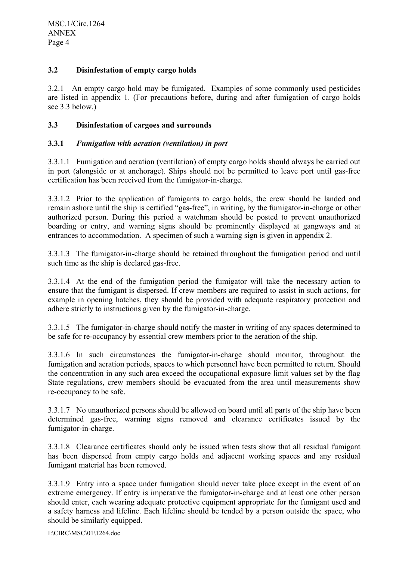### **3.2 Disinfestation of empty cargo holds**

3.2.1 An empty cargo hold may be fumigated. Examples of some commonly used pesticides are listed in appendix 1. (For precautions before, during and after fumigation of cargo holds see 3.3 below.)

### **3.3 Disinfestation of cargoes and surrounds**

### **3.3.1** *Fumigation with aeration (ventilation) in port*

3.3.1.1 Fumigation and aeration (ventilation) of empty cargo holds should always be carried out in port (alongside or at anchorage). Ships should not be permitted to leave port until gas-free certification has been received from the fumigator-in-charge.

3.3.1.2 Prior to the application of fumigants to cargo holds, the crew should be landed and remain ashore until the ship is certified "gas-free", in writing, by the fumigator-in-charge or other authorized person. During this period a watchman should be posted to prevent unauthorized boarding or entry, and warning signs should be prominently displayed at gangways and at entrances to accommodation. A specimen of such a warning sign is given in appendix 2.

3.3.1.3 The fumigator-in-charge should be retained throughout the fumigation period and until such time as the ship is declared gas-free.

3.3.1.4 At the end of the fumigation period the fumigator will take the necessary action to ensure that the fumigant is dispersed. If crew members are required to assist in such actions, for example in opening hatches, they should be provided with adequate respiratory protection and adhere strictly to instructions given by the fumigator-in-charge.

3.3.1.5 The fumigator-in-charge should notify the master in writing of any spaces determined to be safe for re-occupancy by essential crew members prior to the aeration of the ship.

3.3.1.6 In such circumstances the fumigator-in-charge should monitor, throughout the fumigation and aeration periods, spaces to which personnel have been permitted to return. Should the concentration in any such area exceed the occupational exposure limit values set by the flag State regulations, crew members should be evacuated from the area until measurements show re-occupancy to be safe.

3.3.1.7 No unauthorized persons should be allowed on board until all parts of the ship have been determined gas-free, warning signs removed and clearance certificates issued by the fumigator-in-charge.

3.3.1.8 Clearance certificates should only be issued when tests show that all residual fumigant has been dispersed from empty cargo holds and adjacent working spaces and any residual fumigant material has been removed.

3.3.1.9 Entry into a space under fumigation should never take place except in the event of an extreme emergency. If entry is imperative the fumigator-in-charge and at least one other person should enter, each wearing adequate protective equipment appropriate for the fumigant used and a safety harness and lifeline. Each lifeline should be tended by a person outside the space, who should be similarly equipped.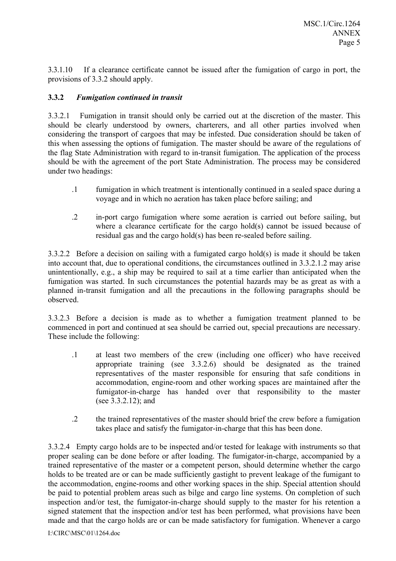3.3.1.10 If a clearance certificate cannot be issued after the fumigation of cargo in port, the provisions of 3.3.2 should apply.

### **3.3.2** *Fumigation continued in transit*

3.3.2.1 Fumigation in transit should only be carried out at the discretion of the master. This should be clearly understood by owners, charterers, and all other parties involved when considering the transport of cargoes that may be infested. Due consideration should be taken of this when assessing the options of fumigation. The master should be aware of the regulations of the flag State Administration with regard to in-transit fumigation. The application of the process should be with the agreement of the port State Administration. The process may be considered under two headings:

- .1 fumigation in which treatment is intentionally continued in a sealed space during a voyage and in which no aeration has taken place before sailing; and
- .2 in-port cargo fumigation where some aeration is carried out before sailing, but where a clearance certificate for the cargo hold(s) cannot be issued because of residual gas and the cargo hold(s) has been re-sealed before sailing.

3.3.2.2 Before a decision on sailing with a fumigated cargo hold(s) is made it should be taken into account that, due to operational conditions, the circumstances outlined in 3.3.2.1.2 may arise unintentionally, e.g., a ship may be required to sail at a time earlier than anticipated when the fumigation was started. In such circumstances the potential hazards may be as great as with a planned in-transit fumigation and all the precautions in the following paragraphs should be observed.

3.3.2.3 Before a decision is made as to whether a fumigation treatment planned to be commenced in port and continued at sea should be carried out, special precautions are necessary. These include the following:

- .1 at least two members of the crew (including one officer) who have received appropriate training (see 3.3.2.6) should be designated as the trained representatives of the master responsible for ensuring that safe conditions in accommodation, engine-room and other working spaces are maintained after the fumigator-in-charge has handed over that responsibility to the master (see 3.3.2.12); and
- .2 the trained representatives of the master should brief the crew before a fumigation takes place and satisfy the fumigator-in-charge that this has been done.

3.3.2.4 Empty cargo holds are to be inspected and/or tested for leakage with instruments so that proper sealing can be done before or after loading. The fumigator-in-charge, accompanied by a trained representative of the master or a competent person, should determine whether the cargo holds to be treated are or can be made sufficiently gastight to prevent leakage of the fumigant to the accommodation, engine-rooms and other working spaces in the ship. Special attention should be paid to potential problem areas such as bilge and cargo line systems. On completion of such inspection and/or test, the fumigator-in-charge should supply to the master for his retention a signed statement that the inspection and/or test has been performed, what provisions have been made and that the cargo holds are or can be made satisfactory for fumigation. Whenever a cargo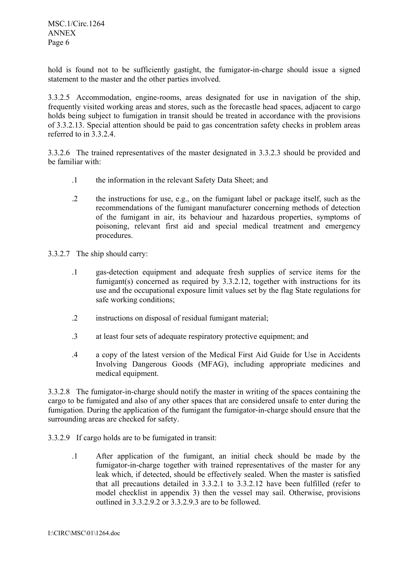MSC.1/Circ.1264 ANNEX Page 6

hold is found not to be sufficiently gastight, the fumigator-in-charge should issue a signed statement to the master and the other parties involved.

3.3.2.5 Accommodation, engine-rooms, areas designated for use in navigation of the ship, frequently visited working areas and stores, such as the forecastle head spaces, adjacent to cargo holds being subject to fumigation in transit should be treated in accordance with the provisions of 3.3.2.13. Special attention should be paid to gas concentration safety checks in problem areas referred to in 3.3.2.4.

3.3.2.6 The trained representatives of the master designated in 3.3.2.3 should be provided and be familiar with:

- .1 the information in the relevant Safety Data Sheet; and
- .2 the instructions for use, e.g., on the fumigant label or package itself, such as the recommendations of the fumigant manufacturer concerning methods of detection of the fumigant in air, its behaviour and hazardous properties, symptoms of poisoning, relevant first aid and special medical treatment and emergency procedures.
- 3.3.2.7 The ship should carry:
	- .1 gas-detection equipment and adequate fresh supplies of service items for the fumigant(s) concerned as required by 3.3.2.12, together with instructions for its use and the occupational exposure limit values set by the flag State regulations for safe working conditions;
	- .2 instructions on disposal of residual fumigant material;
	- .3 at least four sets of adequate respiratory protective equipment; and
	- .4 a copy of the latest version of the Medical First Aid Guide for Use in Accidents Involving Dangerous Goods (MFAG), including appropriate medicines and medical equipment.

3.3.2.8 The fumigator-in-charge should notify the master in writing of the spaces containing the cargo to be fumigated and also of any other spaces that are considered unsafe to enter during the fumigation. During the application of the fumigant the fumigator-in-charge should ensure that the surrounding areas are checked for safety.

- 3.3.2.9 If cargo holds are to be fumigated in transit:
	- .1 After application of the fumigant, an initial check should be made by the fumigator-in-charge together with trained representatives of the master for any leak which, if detected, should be effectively sealed. When the master is satisfied that all precautions detailed in 3.3.2.1 to 3.3.2.12 have been fulfilled (refer to model checklist in appendix 3) then the vessel may sail. Otherwise, provisions outlined in 3.3.2.9.2 or 3.3.2.9.3 are to be followed.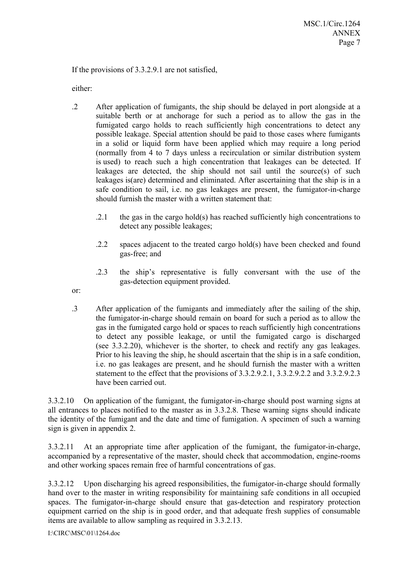If the provisions of 3.3.2.9.1 are not satisfied,

either:

- .2 After application of fumigants, the ship should be delayed in port alongside at a suitable berth or at anchorage for such a period as to allow the gas in the fumigated cargo holds to reach sufficiently high concentrations to detect any possible leakage. Special attention should be paid to those cases where fumigants in a solid or liquid form have been applied which may require a long period (normally from 4 to 7 days unless a recirculation or similar distribution system is used) to reach such a high concentration that leakages can be detected. If leakages are detected, the ship should not sail until the source(s) of such leakages is(are) determined and eliminated. After ascertaining that the ship is in a safe condition to sail, i.e. no gas leakages are present, the fumigator-in-charge should furnish the master with a written statement that:
	- .2.1 the gas in the cargo hold(s) has reached sufficiently high concentrations to detect any possible leakages;
	- .2.2 spaces adjacent to the treated cargo hold(s) have been checked and found gas-free; and
	- .2.3 the ship's representative is fully conversant with the use of the gas-detection equipment provided.
- or:
- .3 After application of the fumigants and immediately after the sailing of the ship, the fumigator-in-charge should remain on board for such a period as to allow the gas in the fumigated cargo hold or spaces to reach sufficiently high concentrations to detect any possible leakage, or until the fumigated cargo is discharged (see 3.3.2.20), whichever is the shorter, to check and rectify any gas leakages. Prior to his leaving the ship, he should ascertain that the ship is in a safe condition, i.e. no gas leakages are present, and he should furnish the master with a written statement to the effect that the provisions of 3.3.2.9.2.1, 3.3.2.9.2.2 and 3.3.2.9.2.3 have been carried out.

3.3.2.10 On application of the fumigant, the fumigator-in-charge should post warning signs at all entrances to places notified to the master as in 3.3.2.8. These warning signs should indicate the identity of the fumigant and the date and time of fumigation. A specimen of such a warning sign is given in appendix 2.

3.3.2.11 At an appropriate time after application of the fumigant, the fumigator-in-charge, accompanied by a representative of the master, should check that accommodation, engine-rooms and other working spaces remain free of harmful concentrations of gas.

3.3.2.12 Upon discharging his agreed responsibilities, the fumigator-in-charge should formally hand over to the master in writing responsibility for maintaining safe conditions in all occupied spaces. The fumigator-in-charge should ensure that gas-detection and respiratory protection equipment carried on the ship is in good order, and that adequate fresh supplies of consumable items are available to allow sampling as required in 3.3.2.13.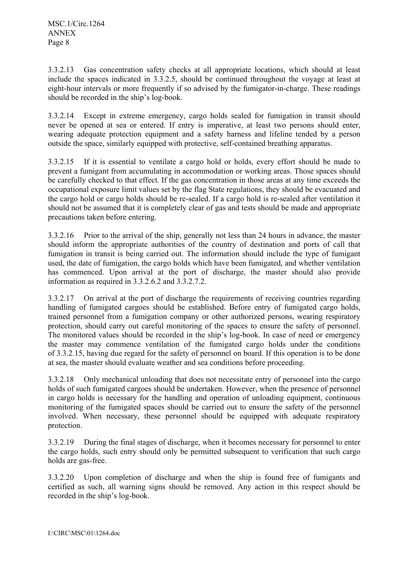3.3.2.13 Gas concentration safety checks at all appropriate locations, which should at least include the spaces indicated in 3.3.2.5, should be continued throughout the voyage at least at eight-hour intervals or more frequently if so advised by the fumigator-in-charge. These readings should be recorded in the ship's log-book.

3.3.2.14 Except in extreme emergency, cargo holds sealed for fumigation in transit should never be opened at sea or entered. If entry is imperative, at least two persons should enter, wearing adequate protection equipment and a safety harness and lifeline tended by a person outside the space, similarly equipped with protective, self-contained breathing apparatus.

3.3.2.15 If it is essential to ventilate a cargo hold or holds, every effort should be made to prevent a fumigant from accumulating in accommodation or working areas. Those spaces should be carefully checked to that effect. If the gas concentration in those areas at any time exceeds the occupational exposure limit values set by the flag State regulations, they should be evacuated and the cargo hold or cargo holds should be re-sealed. If a cargo hold is re-sealed after ventilation it should not be assumed that it is completely clear of gas and tests should be made and appropriate precautions taken before entering.

3.3.2.16 Prior to the arrival of the ship, generally not less than 24 hours in advance, the master should inform the appropriate authorities of the country of destination and ports of call that fumigation in transit is being carried out. The information should include the type of fumigant used, the date of fumigation, the cargo holds which have been fumigated, and whether ventilation has commenced. Upon arrival at the port of discharge, the master should also provide information as required in 3.3.2.6.2 and 3.3.2.7.2.

3.3.2.17 On arrival at the port of discharge the requirements of receiving countries regarding handling of fumigated cargoes should be established. Before entry of fumigated cargo holds, trained personnel from a fumigation company or other authorized persons, wearing respiratory protection, should carry out careful monitoring of the spaces to ensure the safety of personnel. The monitored values should be recorded in the ship's log-book. In case of need or emergency the master may commence ventilation of the fumigated cargo holds under the conditions of 3.3.2.15, having due regard for the safety of personnel on board. If this operation is to be done at sea, the master should evaluate weather and sea conditions before proceeding.

3.3.2.18 Only mechanical unloading that does not necessitate entry of personnel into the cargo holds of such fumigated cargoes should be undertaken. However, when the presence of personnel in cargo holds is necessary for the handling and operation of unloading equipment, continuous monitoring of the fumigated spaces should be carried out to ensure the safety of the personnel involved. When necessary, these personnel should be equipped with adequate respiratory protection.

3.3.2.19 During the final stages of discharge, when it becomes necessary for personnel to enter the cargo holds, such entry should only be permitted subsequent to verification that such cargo holds are gas-free.

3.3.2.20 Upon completion of discharge and when the ship is found free of fumigants and certified as such, all warning signs should be removed. Any action in this respect should be recorded in the ship's log-book.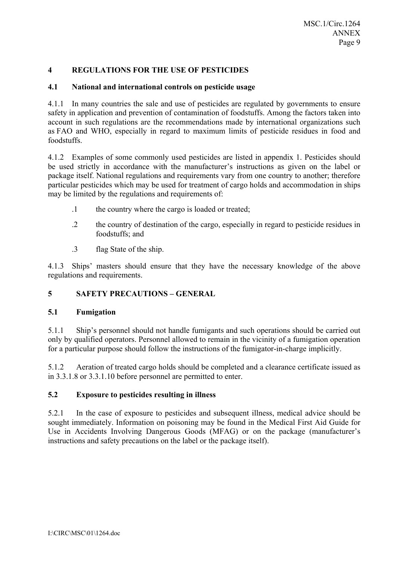### **4 REGULATIONS FOR THE USE OF PESTICIDES**

### **4.1 National and international controls on pesticide usage**

4.1.1 In many countries the sale and use of pesticides are regulated by governments to ensure safety in application and prevention of contamination of foodstuffs. Among the factors taken into account in such regulations are the recommendations made by international organizations such as FAO and WHO, especially in regard to maximum limits of pesticide residues in food and foodstuffs.

4.1.2 Examples of some commonly used pesticides are listed in appendix 1. Pesticides should be used strictly in accordance with the manufacturer's instructions as given on the label or package itself. National regulations and requirements vary from one country to another; therefore particular pesticides which may be used for treatment of cargo holds and accommodation in ships may be limited by the regulations and requirements of:

- .1 the country where the cargo is loaded or treated;
- .2 the country of destination of the cargo, especially in regard to pesticide residues in foodstuffs; and
- .3 flag State of the ship.

4.1.3 Ships' masters should ensure that they have the necessary knowledge of the above regulations and requirements.

### **5 SAFETY PRECAUTIONS – GENERAL**

#### **5.1 Fumigation**

5.1.1 Ship's personnel should not handle fumigants and such operations should be carried out only by qualified operators. Personnel allowed to remain in the vicinity of a fumigation operation for a particular purpose should follow the instructions of the fumigator-in-charge implicitly.

5.1.2 Aeration of treated cargo holds should be completed and a clearance certificate issued as in 3.3.1.8 or 3.3.1.10 before personnel are permitted to enter.

### **5.2 Exposure to pesticides resulting in illness**

5.2.1 In the case of exposure to pesticides and subsequent illness, medical advice should be sought immediately. Information on poisoning may be found in the Medical First Aid Guide for Use in Accidents Involving Dangerous Goods (MFAG) or on the package (manufacturer's instructions and safety precautions on the label or the package itself).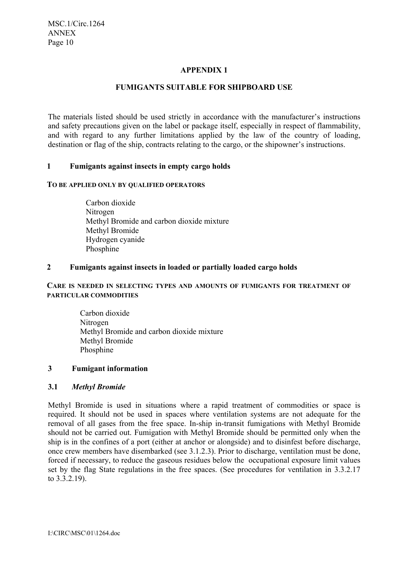### **APPENDIX 1**

### **FUMIGANTS SUITABLE FOR SHIPBOARD USE**

The materials listed should be used strictly in accordance with the manufacturer's instructions and safety precautions given on the label or package itself, especially in respect of flammability, and with regard to any further limitations applied by the law of the country of loading, destination or flag of the ship, contracts relating to the cargo, or the shipowner's instructions.

### **1 Fumigants against insects in empty cargo holds**

#### **TO BE APPLIED ONLY BY QUALIFIED OPERATORS**

 Carbon dioxide Nitrogen Methyl Bromide and carbon dioxide mixture Methyl Bromide Hydrogen cyanide Phosphine

#### **2 Fumigants against insects in loaded or partially loaded cargo holds**

#### **CARE IS NEEDED IN SELECTING TYPES AND AMOUNTS OF FUMIGANTS FOR TREATMENT OF PARTICULAR COMMODITIES**

 Carbon dioxide Nitrogen Methyl Bromide and carbon dioxide mixture Methyl Bromide Phosphine

#### **3 Fumigant information**

#### **3.1** *Methyl Bromide*

Methyl Bromide is used in situations where a rapid treatment of commodities or space is required. It should not be used in spaces where ventilation systems are not adequate for the removal of all gases from the free space. In-ship in-transit fumigations with Methyl Bromide should not be carried out. Fumigation with Methyl Bromide should be permitted only when the ship is in the confines of a port (either at anchor or alongside) and to disinfest before discharge, once crew members have disembarked (see 3.1.2.3). Prior to discharge, ventilation must be done, forced if necessary, to reduce the gaseous residues below the occupational exposure limit values set by the flag State regulations in the free spaces. (See procedures for ventilation in 3.3.2.17 to 3.3.2.19).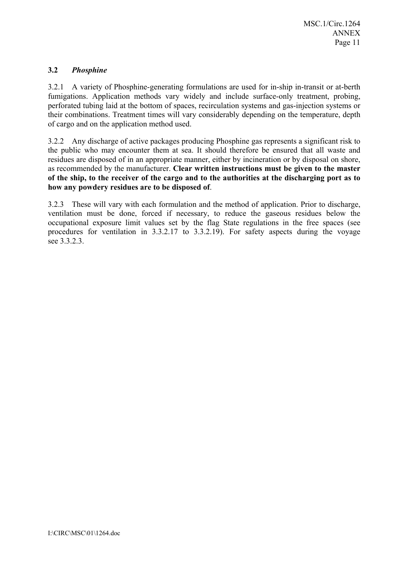## **3.2** *Phosphine*

3.2.1 A variety of Phosphine-generating formulations are used for in-ship in-transit or at-berth fumigations. Application methods vary widely and include surface-only treatment, probing, perforated tubing laid at the bottom of spaces, recirculation systems and gas-injection systems or their combinations. Treatment times will vary considerably depending on the temperature, depth of cargo and on the application method used.

3.2.2 Any discharge of active packages producing Phosphine gas represents a significant risk to the public who may encounter them at sea. It should therefore be ensured that all waste and residues are disposed of in an appropriate manner, either by incineration or by disposal on shore, as recommended by the manufacturer. **Clear written instructions must be given to the master of the ship, to the receiver of the cargo and to the authorities at the discharging port as to how any powdery residues are to be disposed of**.

3.2.3 These will vary with each formulation and the method of application. Prior to discharge, ventilation must be done, forced if necessary, to reduce the gaseous residues below the occupational exposure limit values set by the flag State regulations in the free spaces (see procedures for ventilation in 3.3.2.17 to 3.3.2.19). For safety aspects during the voyage see 3.3.2.3.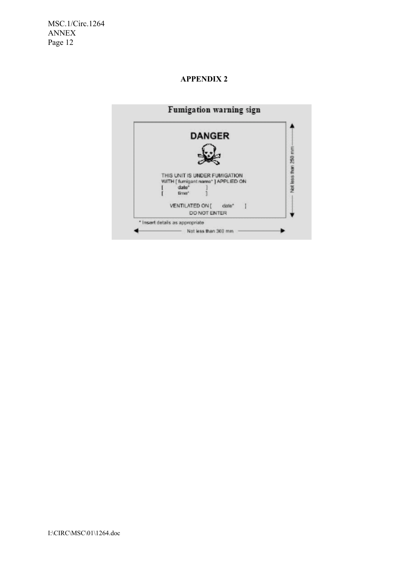MSC.1/Circ.1264 ANNEX Page 12

### **APPENDIX 2**

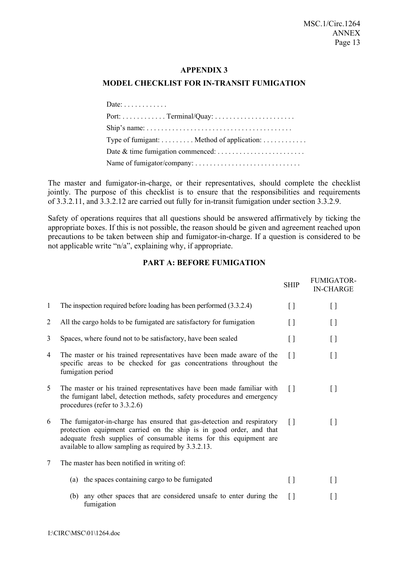#### **APPENDIX 3**

## **MODEL CHECKLIST FOR IN-TRANSIT FUMIGATION**

| Date: $\ldots$                                                                               |
|----------------------------------------------------------------------------------------------|
|                                                                                              |
| Ship's name: $\dots \dots \dots \dots \dots \dots \dots \dots \dots \dots \dots \dots \dots$ |
| Type of fumigant: $\dots \dots$ Method of application: $\dots \dots \dots$                   |
|                                                                                              |
|                                                                                              |

The master and fumigator-in-charge, or their representatives, should complete the checklist jointly. The purpose of this checklist is to ensure that the responsibilities and requirements of 3.3.2.11, and 3.3.2.12 are carried out fully for in-transit fumigation under section 3.3.2.9.

Safety of operations requires that all questions should be answered affirmatively by ticking the appropriate boxes. If this is not possible, the reason should be given and agreement reached upon precautions to be taken between ship and fumigator-in-charge. If a question is considered to be not applicable write "n/a", explaining why, if appropriate.

#### **PART A: BEFORE FUMIGATION**

|                |                                                                                                                                                                                                                                                                             | <b>SHIP</b>                            | <b>FUMIGATOR-</b><br><b>IN-CHARGE</b>  |
|----------------|-----------------------------------------------------------------------------------------------------------------------------------------------------------------------------------------------------------------------------------------------------------------------------|----------------------------------------|----------------------------------------|
| 1              | The inspection required before loading has been performed $(3.3.2.4)$                                                                                                                                                                                                       | $[ \ ]$                                | $[$                                    |
| $\overline{2}$ | All the cargo holds to be fumigated are satisfactory for fumigation                                                                                                                                                                                                         | $\begin{array}{c} \square \end{array}$ | $\begin{array}{c} \square \end{array}$ |
| 3              | Spaces, where found not to be satisfactory, have been sealed                                                                                                                                                                                                                | $[ \ ]$                                | $[ \ ]$                                |
| 4              | The master or his trained representatives have been made aware of the<br>specific areas to be checked for gas concentrations throughout the<br>fumigation period                                                                                                            | $\Box$                                 | $[ \ ]$                                |
| 5              | The master or his trained representatives have been made familiar with<br>the fumigant label, detection methods, safety procedures and emergency<br>procedures (refer to $3.3.2.6$ )                                                                                        | $[ \ ]$                                | $[ \ ]$                                |
| 6              | The fumigator-in-charge has ensured that gas-detection and respiratory<br>protection equipment carried on the ship is in good order, and that<br>adequate fresh supplies of consumable items for this equipment are<br>available to allow sampling as required by 3.3.2.13. | $\Box$                                 | []                                     |
| $\tau$         | The master has been notified in writing of:                                                                                                                                                                                                                                 |                                        |                                        |
|                | the spaces containing cargo to be fumigated<br>(a)                                                                                                                                                                                                                          | $\begin{array}{c} \square \end{array}$ | $\begin{array}{c} \square \end{array}$ |
|                | any other spaces that are considered unsafe to enter during the<br>(b)<br>fumigation                                                                                                                                                                                        | $[ \ ]$                                | []                                     |